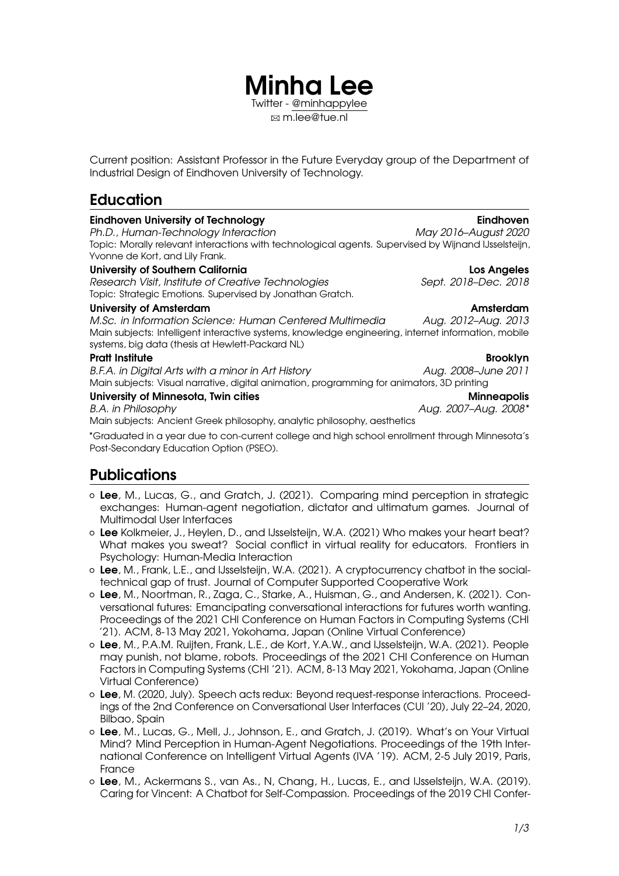Current position: Assistant Professor in the Future Everyday group of the Department of Industrial Design of Eindhoven University of Technology.

**Minha Lee** Twitter - [@minhappylee](https://twitter.com/minhappylee) B [m.lee@tue.nl](mailto:m.lee@tue.nl)

# **Education**

| <b>Eindhoven University of Technology</b><br>Ph.D., Human-Technology Interaction                                                                                                                                   | Eindhoven<br>May 2016-August 2020 |
|--------------------------------------------------------------------------------------------------------------------------------------------------------------------------------------------------------------------|-----------------------------------|
| Topic: Morally relevant interactions with technological agents. Supervised by Wijnand IJsselsteijn,<br>Yvonne de Kort, and Lily Frank.                                                                             |                                   |
| <b>University of Southern California</b>                                                                                                                                                                           | Los Angeles                       |
| Research Visit, Institute of Creative Technologies<br>Topic: Strategic Emotions. Supervised by Jonathan Gratch.                                                                                                    | Sept. 2018-Dec. 2018              |
| University of Amsterdam                                                                                                                                                                                            | Amsterdam                         |
| M.Sc. in Information Science: Human Centered Multimedia<br>Main subjects: Intelligent interactive systems, knowledge engineering, internet information, mobile<br>systems, big data (thesis at Hewlett-Packard NL) | Aug. 2012–Aug. 2013               |
| <b>Pratt Institute</b>                                                                                                                                                                                             | <b>Brooklyn</b>                   |
| B.F.A. in Digital Arts with a minor in Art History<br>Main subjects: Visual narrative, digital animation, programming for animators, 3D printing                                                                   | Aug. 2008-June 2011               |
| University of Minnesota, Twin cities                                                                                                                                                                               | <b>Minneapolis</b>                |
| B.A. in Philosophy<br>Main subjects: Ancient Greek philosophy, analytic philosophy, aesthetics                                                                                                                     | Aug. 2007-Aug. 2008*              |
| *Graduated in a year due to con-current college and high school enrollment through Minnesota's<br>Post-Secondary Education Option (PSEO).                                                                          |                                   |

## **Publications**

- { **Lee**, M., Lucas, G., and Gratch, J. (2021). Comparing mind perception in strategic exchanges: Human-agent negotiation, dictator and ultimatum games. Journal of Multimodal User Interfaces
- { **Lee** Kolkmeier, J., Heylen, D., and IJsselsteijn, W.A. (2021) Who makes your heart beat? What makes you sweat? Social conflict in virtual reality for educators. Frontiers in Psychology: Human-Media Interaction
- { **Lee**, M., Frank, L.E., and IJsselsteijn, W.A. (2021). A cryptocurrency chatbot in the socialtechnical gap of trust. Journal of Computer Supported Cooperative Work
- { **Lee**, M., Noortman, R., Zaga, C., Starke, A., Huisman, G., and Andersen, K. (2021). Conversational futures: Emancipating conversational interactions for futures worth wanting. Proceedings of the 2021 CHI Conference on Human Factors in Computing Systems (CHI '21). ACM, 8-13 May 2021, Yokohama, Japan (Online Virtual Conference)
- { **Lee**, M., P.A.M. Ruijten, Frank, L.E., de Kort, Y.A.W., and IJsselsteijn, W.A. (2021). People may punish, not blame, robots. Proceedings of the 2021 CHI Conference on Human Factors in Computing Systems (CHI '21). ACM, 8-13 May 2021, Yokohama, Japan (Online Virtual Conference)
- { **Lee**, M. (2020, July). Speech acts redux: Beyond request-response interactions. Proceedings of the 2nd Conference on Conversational User Interfaces (CUI '20), July 22–24, 2020, Bilbao, Spain
- { **Lee**, M., Lucas, G., Mell, J., Johnson, E., and Gratch, J. (2019). What's on Your Virtual Mind? Mind Perception in Human-Agent Negotiations. Proceedings of the 19th International Conference on Intelligent Virtual Agents (IVA '19). ACM, 2-5 July 2019, Paris, France
- { **Lee**, M., Ackermans S., van As., N, Chang, H., Lucas, E., and IJsselsteijn, W.A. (2019). Caring for Vincent: A Chatbot for Self-Compassion. Proceedings of the 2019 CHI Confer-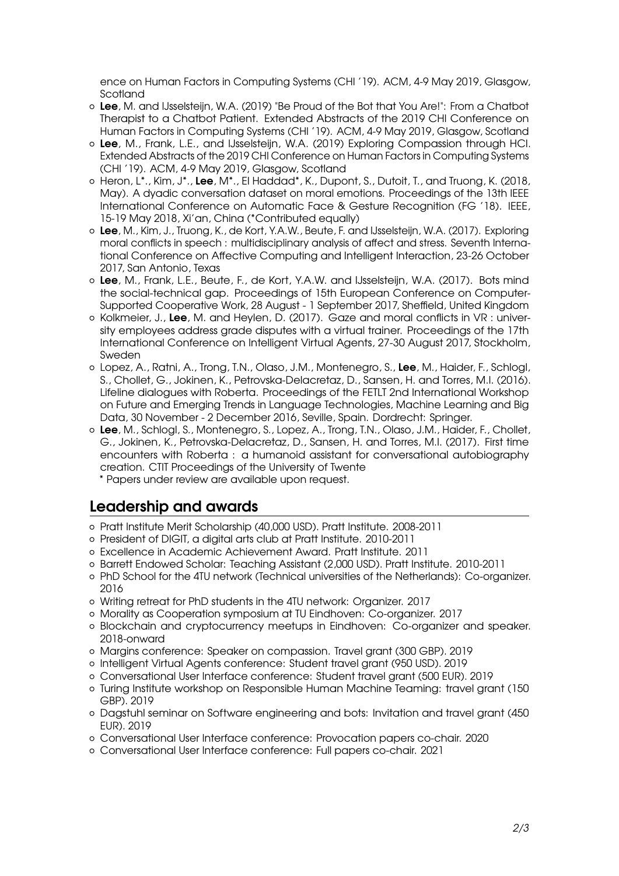ence on Human Factors in Computing Systems (CHI '19). ACM, 4-9 May 2019, Glasgow, Scotland

- { **Lee**, M. and IJsselsteijn, W.A. (2019) "Be Proud of the Bot that You Are!": From a Chatbot Therapist to a Chatbot Patient. Extended Abstracts of the 2019 CHI Conference on Human Factors in Computing Systems (CHI '19). ACM, 4-9 May 2019, Glasgow, Scotland
- { **Lee**, M., Frank, L.E., and IJsselsteijn, W.A. (2019) Exploring Compassion through HCI. Extended Abstracts of the 2019 CHI Conference on Human Factors in Computing Systems (CHI '19). ACM, 4-9 May 2019, Glasgow, Scotland
- { Heron, L\*., Kim, J\*., **Lee**, M\*., El Haddad\*, K., Dupont, S., Dutoit, T., and Truong, K. (2018, May). A dyadic conversation dataset on moral emotions. Proceedings of the 13th IEEE International Conference on Automatic Face & Gesture Recognition (FG '18). IEEE, 15-19 May 2018, Xi'an, China (\*Contributed equally)
- { **Lee**, M., Kim, J., Truong, K., de Kort, Y.A.W., Beute, F. and IJsselsteijn, W.A. (2017). Exploring moral conflicts in speech : multidisciplinary analysis of affect and stress. Seventh International Conference on Affective Computing and Intelligent Interaction, 23-26 October 2017, San Antonio, Texas
- { **Lee**, M., Frank, L.E., Beute, F., de Kort, Y.A.W. and IJsselsteijn, W.A. (2017). Bots mind the social-technical gap. Proceedings of 15th European Conference on Computer-Supported Cooperative Work, 28 August - 1 September 2017, Sheffield, United Kingdom
- { Kolkmeier, J., **Lee**, M. and Heylen, D. (2017). Gaze and moral conflicts in VR : university employees address grade disputes with a virtual trainer. Proceedings of the 17th International Conference on Intelligent Virtual Agents, 27-30 August 2017, Stockholm, Sweden
- { Lopez, A., Ratni, A., Trong, T.N., Olaso, J.M., Montenegro, S., **Lee**, M., Haider, F., Schlogl, S., Chollet, G., Jokinen, K., Petrovska-Delacretaz, D., Sansen, H. and Torres, M.I. (2016). Lifeline dialogues with Roberta. Proceedings of the FETLT 2nd International Workshop on Future and Emerging Trends in Language Technologies, Machine Learning and Big Data, 30 November - 2 December 2016, Seville, Spain. Dordrecht: Springer.
- { **Lee**, M., Schlogl, S., Montenegro, S., Lopez, A., Trong, T.N., Olaso, J.M., Haider, F., Chollet, G., Jokinen, K., Petrovska-Delacretaz, D., Sansen, H. and Torres, M.I. (2017). First time encounters with Roberta : a humanoid assistant for conversational autobiography creation. CTIT Proceedings of the University of Twente
	- \* Papers under review are available upon request.

### **Leadership and awards**

- { Pratt Institute Merit Scholarship (40,000 USD). Pratt Institute. 2008-2011
- { President of DIGIT, a digital arts club at Pratt Institute. 2010-2011
- { Excellence in Academic Achievement Award. Pratt Institute. 2011
- { Barrett Endowed Scholar: Teaching Assistant (2,000 USD). Pratt Institute. 2010-2011
- { PhD School for the 4TU network (Technical universities of the Netherlands): Co-organizer. 2016
- { Writing retreat for PhD students in the 4TU network: Organizer. 2017
- { Morality as Cooperation symposium at TU Eindhoven: Co-organizer. 2017
- { Blockchain and cryptocurrency meetups in Eindhoven: Co-organizer and speaker. 2018-onward
- { Margins conference: Speaker on compassion. Travel grant (300 GBP). 2019
- { Intelligent Virtual Agents conference: Student travel grant (950 USD). 2019
- { Conversational User Interface conference: Student travel grant (500 EUR). 2019
- { Turing Institute workshop on Responsible Human Machine Teaming: travel grant (150 GBP). 2019
- { Dagstuhl seminar on Software engineering and bots: Invitation and travel grant (450 EUR). 2019
- { Conversational User Interface conference: Provocation papers co-chair. 2020
- { Conversational User Interface conference: Full papers co-chair. 2021